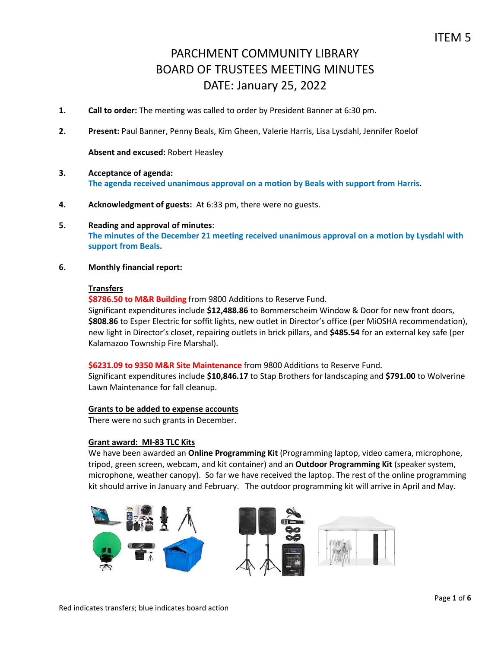- **1. Call to order:** The meeting was called to order by President Banner at 6:30 pm.
- **2. Present:** Paul Banner, Penny Beals, Kim Gheen, Valerie Harris, Lisa Lysdahl, Jennifer Roelof

**Absent and excused:** Robert Heasley

- **3. Acceptance of agenda: The agenda received unanimous approval on a motion by Beals with support from Harris.**
- **4. Acknowledgment of guests:** At 6:33 pm, there were no guests.
- **5. Reading and approval of minutes**: **The minutes of the December 21 meeting received unanimous approval on a motion by Lysdahl with support from Beals.**
- **6. Monthly financial report:**

### **Transfers**

**\$8786.50 to M&R Building** from 9800 Additions to Reserve Fund.

Significant expenditures include **\$12,488.86** to Bommerscheim Window & Door for new front doors, **\$808.86** to Esper Electric for soffit lights, new outlet in Director's office (per MiOSHA recommendation), new light in Director's closet, repairing outlets in brick pillars, and **\$485.54** for an external key safe (per Kalamazoo Township Fire Marshal).

**\$6231.09 to 9350 M&R Site Maintenance** from 9800 Additions to Reserve Fund.

Significant expenditures include **\$10,846.17** to Stap Brothers for landscaping and **\$791.00** to Wolverine Lawn Maintenance for fall cleanup.

## **Grants to be added to expense accounts**

There were no such grants in December.

### **Grant award: MI-83 TLC Kits**

We have been awarded an **Online Programming Kit** (Programming laptop, video camera, microphone, tripod, green screen, webcam, and kit container) and an **Outdoor Programming Kit** (speaker system, microphone, weather canopy). So far we have received the laptop. The rest of the online programming kit should arrive in January and February. The outdoor programming kit will arrive in April and May.

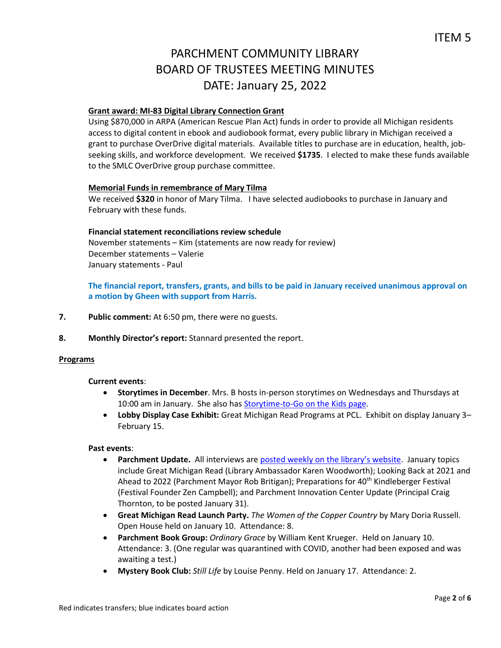# **Grant award: MI-83 Digital Library Connection Grant**

Using \$870,000 in ARPA (American Rescue Plan Act) funds in order to provide all Michigan residents access to digital content in ebook and audiobook format, every public library in Michigan received a grant to purchase OverDrive digital materials. Available titles to purchase are in education, health, jobseeking skills, and workforce development. We received **\$1735**. I elected to make these funds available to the SMLC OverDrive group purchase committee.

### **Memorial Funds in remembrance of Mary Tilma**

We received **\$320** in honor of Mary Tilma. I have selected audiobooks to purchase in January and February with these funds.

### **Financial statement reconciliations review schedule**

November statements – Kim (statements are now ready for review) December statements – Valerie January statements - Paul

**The financial report, transfers, grants, and bills to be paid in January received unanimous approval on a motion by Gheen with support from Harris.**

- **7. Public comment:** At 6:50 pm, there were no guests.
- **8. Monthly Director's report:** Stannard presented the report.

### **Programs**

### **Current events**:

- **Storytimes in December**. Mrs. B hosts in-person storytimes on Wednesdays and Thursdays at 10:00 am in January. She also has [Storytime-to-Go on the Kids page.](https://www.parchmentlibrary.org/storytimes-programs)
- **Lobby Display Case Exhibit:** Great Michigan Read Programs at PCL. Exhibit on display January 3– February 15.

### **Past events**:

- **Parchment Update.** All interviews are [posted weekly on the library's website](https://www.parchmentlibrary.org/parchment-update). January topics include Great Michigan Read (Library Ambassador Karen Woodworth); Looking Back at 2021 and Ahead to 2022 (Parchment Mayor Rob Britigan); Preparations for 40<sup>th</sup> Kindleberger Festival (Festival Founder Zen Campbell); and Parchment Innovation Center Update (Principal Craig Thornton, to be posted January 31).
- **Great Michigan Read Launch Party.** *The Women of the Copper Country* by Mary Doria Russell. Open House held on January 10. Attendance: 8.
- **Parchment Book Group:** *Ordinary Grace* by William Kent Krueger. Held on January 10. Attendance: 3. (One regular was quarantined with COVID, another had been exposed and was awaiting a test.)
- **Mystery Book Club:** *Still Life* by Louise Penny. Held on January 17. Attendance: 2.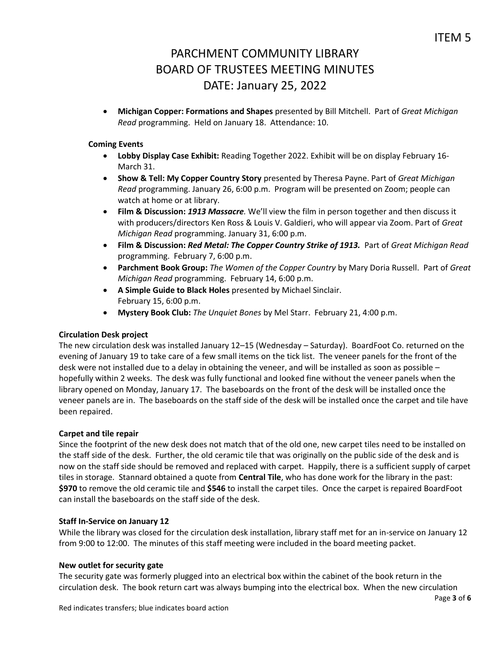**Michigan Copper: Formations and Shapes** presented by Bill Mitchell. Part of *Great Michigan Read* programming. Held on January 18. Attendance: 10.

# **Coming Events**

- **Lobby Display Case Exhibit:** Reading Together 2022. Exhibit will be on display February 16- March 31.
- **Show & Tell: My Copper Country Story** presented by Theresa Payne. Part of *Great Michigan Read* programming. January 26, 6:00 p.m. Program will be presented on Zoom; people can watch at home or at library.
- **Film & Discussion:** *1913 Massacre.* We'll view the film in person together and then discuss it with producers/directors Ken Ross & Louis V. Galdieri, who will appear via Zoom. Part of *Great Michigan Read* programming. January 31, 6:00 p.m.
- **Film & Discussion:** *Red Metal: The Copper Country Strike of 1913.* Part of *Great Michigan Read* programming. February 7, 6:00 p.m.
- **Parchment Book Group:** *The Women of the Copper Country* by Mary Doria Russell. Part of *Great Michigan Read* programming. February 14, 6:00 p.m.
- **A Simple Guide to Black Holes** presented by Michael Sinclair. February 15, 6:00 p.m.
- **Mystery Book Club:** *The Unquiet Bones* by Mel Starr. February 21, 4:00 p.m.

# **Circulation Desk project**

The new circulation desk was installed January 12–15 (Wednesday – Saturday). BoardFoot Co. returned on the evening of January 19 to take care of a few small items on the tick list. The veneer panels for the front of the desk were not installed due to a delay in obtaining the veneer, and will be installed as soon as possible – hopefully within 2 weeks. The desk was fully functional and looked fine without the veneer panels when the library opened on Monday, January 17. The baseboards on the front of the desk will be installed once the veneer panels are in. The baseboards on the staff side of the desk will be installed once the carpet and tile have been repaired.

## **Carpet and tile repair**

Since the footprint of the new desk does not match that of the old one, new carpet tiles need to be installed on the staff side of the desk. Further, the old ceramic tile that was originally on the public side of the desk and is now on the staff side should be removed and replaced with carpet. Happily, there is a sufficient supply of carpet tiles in storage. Stannard obtained a quote from **Central Tile**, who has done work for the library in the past: **\$970** to remove the old ceramic tile and **\$546** to install the carpet tiles. Once the carpet is repaired BoardFoot can install the baseboards on the staff side of the desk.

## **Staff In-Service on January 12**

While the library was closed for the circulation desk installation, library staff met for an in-service on January 12 from 9:00 to 12:00. The minutes of this staff meeting were included in the board meeting packet.

## **New outlet for security gate**

The security gate was formerly plugged into an electrical box within the cabinet of the book return in the circulation desk. The book return cart was always bumping into the electrical box. When the new circulation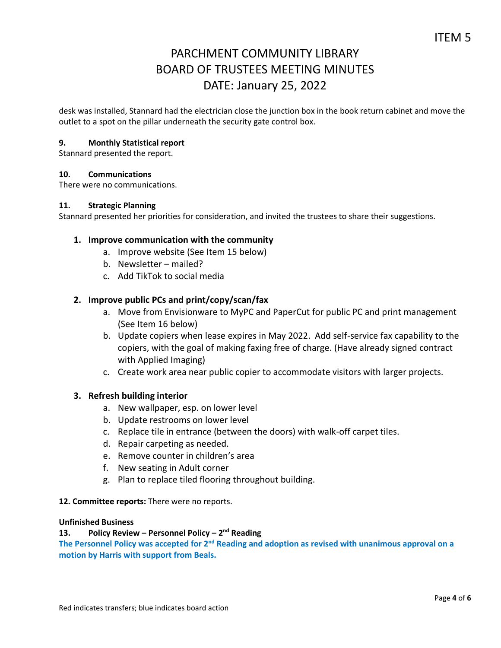desk was installed, Stannard had the electrician close the junction box in the book return cabinet and move the outlet to a spot on the pillar underneath the security gate control box.

# **9. Monthly Statistical report**

Stannard presented the report.

## **10. Communications**

There were no communications.

### **11. Strategic Planning**

Stannard presented her priorities for consideration, and invited the trustees to share their suggestions.

## **1. Improve communication with the community**

- a. Improve website (See Item 15 below)
- b. Newsletter mailed?
- c. Add TikTok to social media

# **2. Improve public PCs and print/copy/scan/fax**

- a. Move from Envisionware to MyPC and PaperCut for public PC and print management (See Item 16 below)
- b. Update copiers when lease expires in May 2022. Add self-service fax capability to the copiers, with the goal of making faxing free of charge. (Have already signed contract with Applied Imaging)
- c. Create work area near public copier to accommodate visitors with larger projects.

## **3. Refresh building interior**

- a. New wallpaper, esp. on lower level
- b. Update restrooms on lower level
- c. Replace tile in entrance (between the doors) with walk-off carpet tiles.
- d. Repair carpeting as needed.
- e. Remove counter in children's area
- f. New seating in Adult corner
- g. Plan to replace tiled flooring throughout building.

## **12. Committee reports:** There were no reports.

## **Unfinished Business**

# **13. Policy Review – Personnel Policy – 2 nd Reading**

The Personnel Policy was accepted for 2<sup>nd</sup> Reading and adoption as revised with unanimous approval on a **motion by Harris with support from Beals.**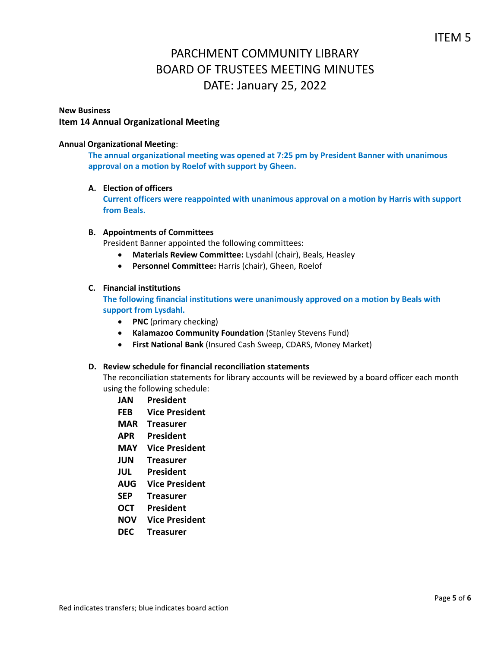## **New Business Item 14 Annual Organizational Meeting**

## **Annual Organizational Meeting**:

**The annual organizational meeting was opened at 7:25 pm by President Banner with unanimous approval on a motion by Roelof with support by Gheen.**

**A. Election of officers**

**Current officers were reappointed with unanimous approval on a motion by Harris with support from Beals.** 

### **B. Appointments of Committees**

President Banner appointed the following committees:

- **Materials Review Committee:** Lysdahl (chair), Beals, Heasley
- **Personnel Committee:** Harris (chair), Gheen, Roelof

# **C. Financial institutions**

**The following financial institutions were unanimously approved on a motion by Beals with support from Lysdahl.**

- **PNC** (primary checking)
- **Kalamazoo Community Foundation** (Stanley Stevens Fund)
- **First National Bank** (Insured Cash Sweep, CDARS, Money Market)

### **D. Review schedule for financial reconciliation statements**

The reconciliation statements for library accounts will be reviewed by a board officer each month using the following schedule:

- **JAN President**
- **FEB Vice President**
- **MAR Treasurer**
- **APR President**
- **MAY Vice President**
- **JUN Treasurer**
- **JUL President**
- **AUG Vice President**
- **SEP Treasurer**
- **OCT President**
- **NOV Vice President**
- **DEC Treasurer**